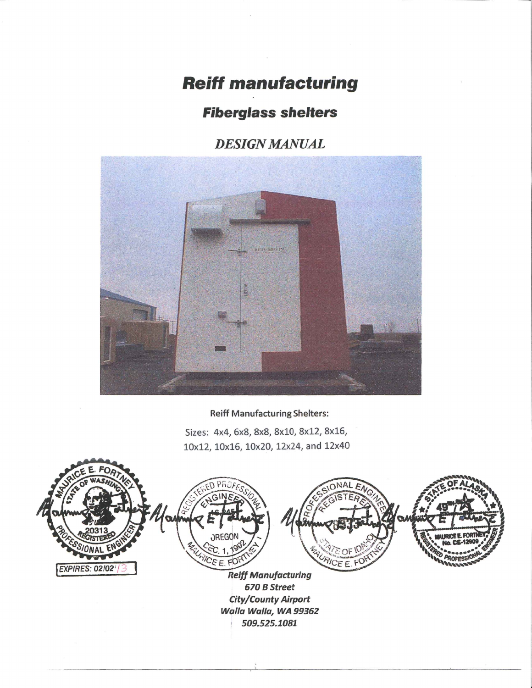# **Reiff manufacturing**

## **Fiberglass shelters**

### **DESIGN MANUAL**



### **Reiff Manufacturing Shelters:**

Sizes: 4x4, 6x8, 8x8, 8x10, 8x12, 8x16, 10x12, 10x16, 10x20, 12x24, and 12x40

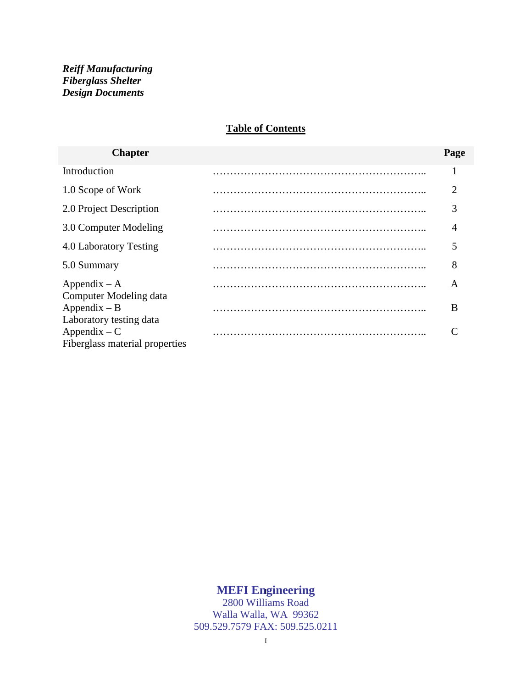#### **Table of Contents**

| <b>Chapter</b>                                                              | Page |
|-----------------------------------------------------------------------------|------|
| Introduction                                                                |      |
| 1.0 Scope of Work                                                           | 2    |
| 2.0 Project Description                                                     | 3    |
| 3.0 Computer Modeling                                                       | 4    |
| 4.0 Laboratory Testing                                                      |      |
| 5.0 Summary                                                                 | 8    |
| $Appendix - A$<br>Computer Modeling data                                    | A    |
| $Appendix - B$                                                              | B    |
| Laboratory testing data<br>$Appendix - C$<br>Fiberglass material properties |      |

#### **MEFI Engineering** I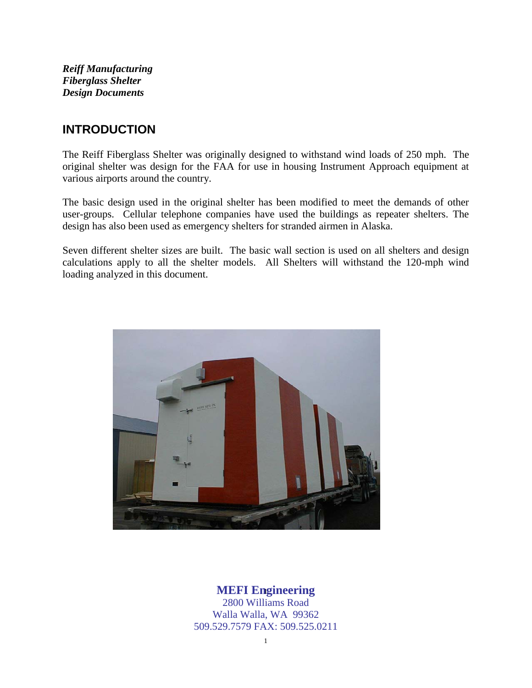### **INTRODUCTION**

The Reiff Fiberglass Shelter was originally designed to withstand wind loads of 250 mph. The original shelter was design for the FAA for use in housing Instrument Approach equipment at various airports around the country.

The basic design used in the original shelter has been modified to meet the demands of other user-groups. Cellular telephone companies have used the buildings as repeater shelters. The design has also been used as emergency shelters for stranded airmen in Alaska.

Seven different shelter sizes are built. The basic wall section is used on all shelters and design calculations apply to all the shelter models. All Shelters will withstand the 120-mph wind loading analyzed in this document.



### **MEFI Engineering** 1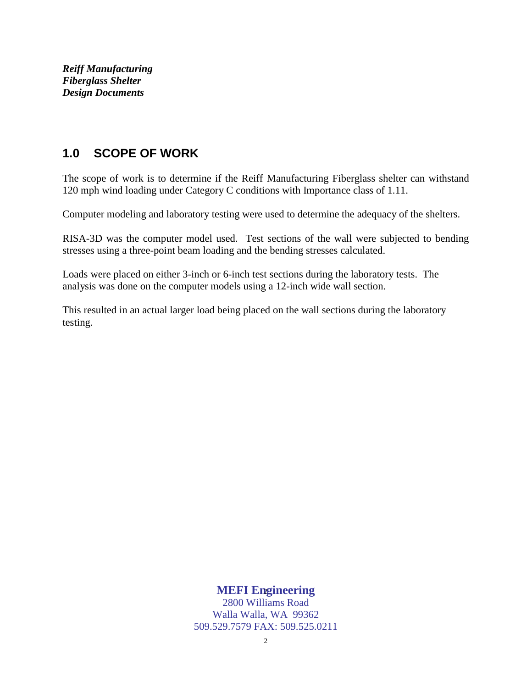### **1.0 SCOPE OF WORK**

The scope of work is to determine if the Reiff Manufacturing Fiberglass shelter can withstand 120 mph wind loading under Category C conditions with Importance class of 1.11.

Computer modeling and laboratory testing were used to determine the adequacy of the shelters.

RISA-3D was the computer model used. Test sections of the wall were subjected to bending stresses using a three-point beam loading and the bending stresses calculated.

Loads were placed on either 3-inch or 6-inch test sections during the laboratory tests. The analysis was done on the computer models using a 12-inch wide wall section.

This resulted in an actual larger load being placed on the wall sections during the laboratory testing.

### **MEFI Engineering** 2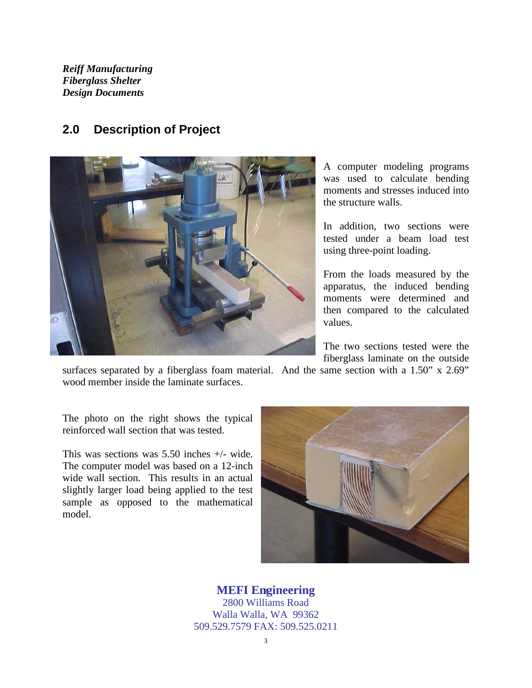### **2.0 Description of Project**



A computer modeling programs was used to calculate bending moments and stresses induced into the structure walls.

In addition, two sections were tested under a beam load test using three-point loading.

From the loads measured by the apparatus, the induced bending moments were determined and then compared to the calculated values.

The two sections tested were the fiberglass laminate on the outside

surfaces separated by a fiberglass foam material. And the same section with a 1.50" x 2.69" wood member inside the laminate surfaces.

The photo on the right shows the typical reinforced wall section that was tested.

This was sections was 5.50 inches +/- wide. The computer model was based on a 12-inch wide wall section. This results in an actual slightly larger load being applied to the test sample as opposed to the mathematical model.



### **MEFI Engineering** 3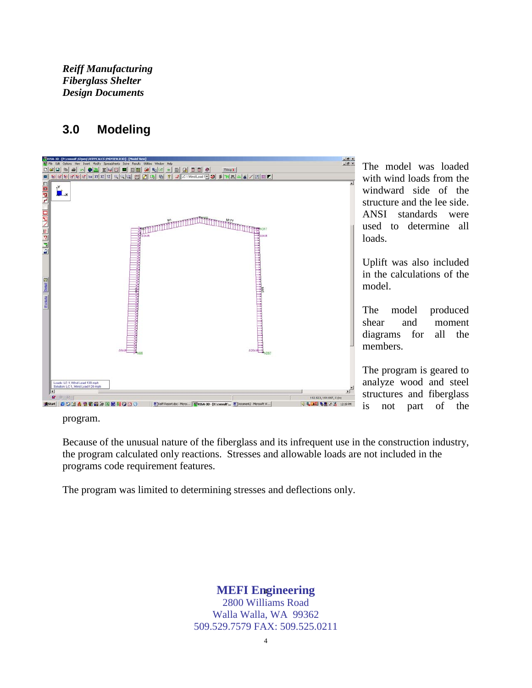### **3.0 Modeling**



The model was loaded with wind loads from the windward side of the structure and the lee side. ANSI standards were used to determine all loads.

Uplift was also included in the calculations of the model.

The model produced shear and moment diagrams for all the members.

The program is geared to analyze wood and steel structures and fiberglass is not part of the

program.

Because of the unusual nature of the fiberglass and its infrequent use in the construction industry, the program calculated only reactions. Stresses and allowable loads are not included in the programs code requirement features.

The program was limited to determining stresses and deflections only.

**MEFI Engineering** 4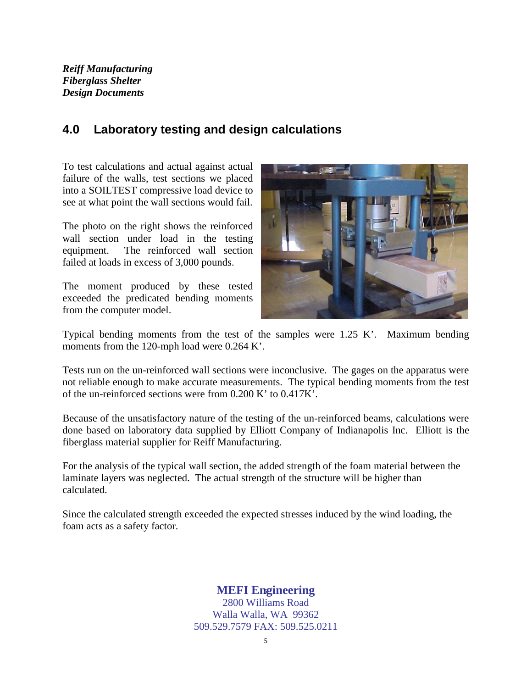### **4.0 Laboratory testing and design calculations**

To test calculations and actual against actual failure of the walls, test sections we placed into a SOILTEST compressive load device to see at what point the wall sections would fail.

The photo on the right shows the reinforced wall section under load in the testing equipment. The reinforced wall section failed at loads in excess of 3,000 pounds.

The moment produced by these tested exceeded the predicated bending moments from the computer model.



Typical bending moments from the test of the samples were 1.25 K'. Maximum bending moments from the 120-mph load were 0.264 K'.

Tests run on the un-reinforced wall sections were inconclusive. The gages on the apparatus were not reliable enough to make accurate measurements. The typical bending moments from the test of the un-reinforced sections were from 0.200 K' to 0.417K'.

Because of the unsatisfactory nature of the testing of the un-reinforced beams, calculations were done based on laboratory data supplied by Elliott Company of Indianapolis Inc. Elliott is the fiberglass material supplier for Reiff Manufacturing.

For the analysis of the typical wall section, the added strength of the foam material between the laminate layers was neglected. The actual strength of the structure will be higher than calculated.

Since the calculated strength exceeded the expected stresses induced by the wind loading, the foam acts as a safety factor.

### **MEFI Engineering** 5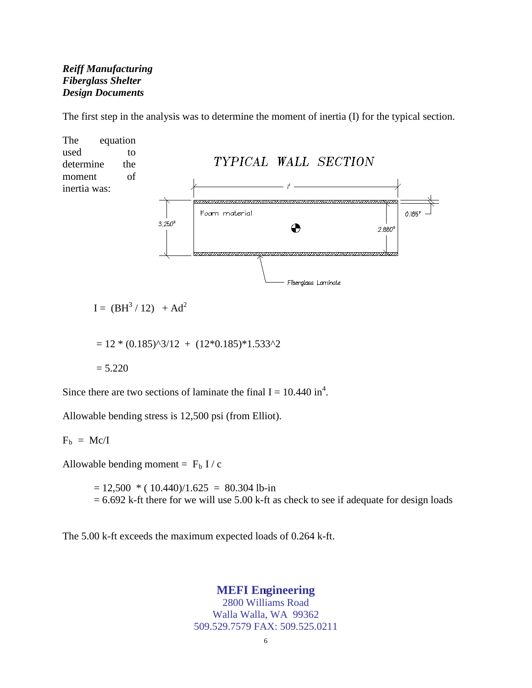The first step in the analysis was to determine the moment of inertia (I) for the typical section.



Since there are two sections of laminate the final  $I = 10.440$  in<sup>4</sup>.

Allowable bending stress is 12,500 psi (from Elliot).

#### $F_b = Mc/I$

Allowable bending moment =  $F_b$  I / c

 $= 12,500 * (10.440)/1.625 = 80.304$  lb-in  $= 6.692$  k-ft there for we will use 5.00 k-ft as check to see if adequate for design loads

The 5.00 k-ft exceeds the maximum expected loads of 0.264 k-ft.

### **MEFI Engineering** 6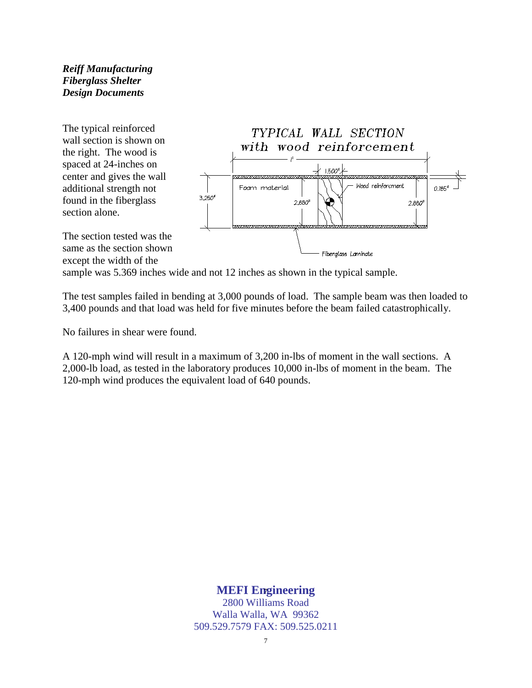The typical reinforced wall section is shown on the right. The wood is spaced at 24-inches on center and gives the wall additional strength not found in the fiberglass section alone.



The section tested was the same as the section shown except the width of the

sample was 5.369 inches wide and not 12 inches as shown in the typical sample.

The test samples failed in bending at 3,000 pounds of load. The sample beam was then loaded to 3,400 pounds and that load was held for five minutes before the beam failed catastrophically.

No failures in shear were found.

A 120-mph wind will result in a maximum of 3,200 in-lbs of moment in the wall sections. A 2,000-lb load, as tested in the laboratory produces 10,000 in-lbs of moment in the beam. The 120-mph wind produces the equivalent load of 640 pounds.

### **MEFI Engineering** 7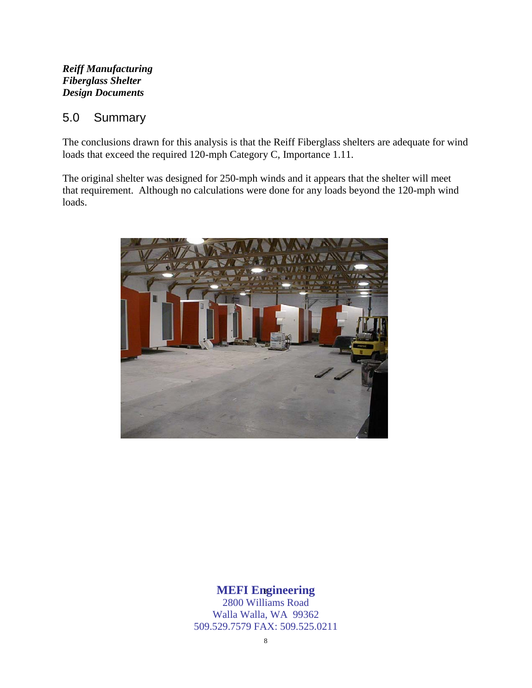### 5.0 Summary

The conclusions drawn for this analysis is that the Reiff Fiberglass shelters are adequate for wind loads that exceed the required 120-mph Category C, Importance 1.11.

The original shelter was designed for 250-mph winds and it appears that the shelter will meet that requirement. Although no calculations were done for any loads beyond the 120-mph wind loads.



### **MEFI Engineering** 8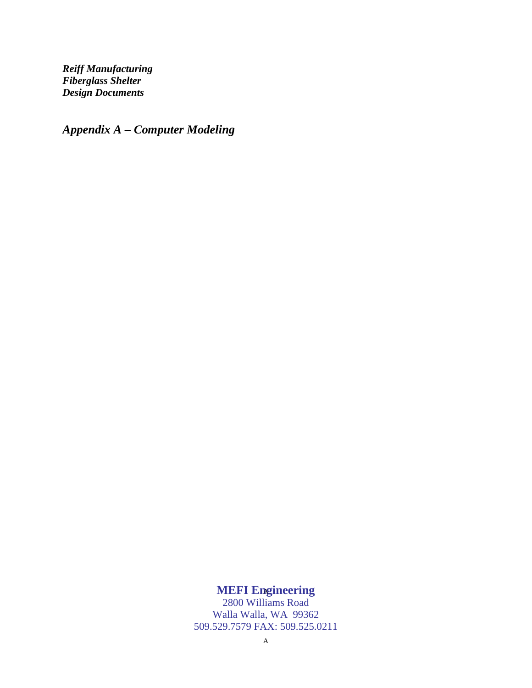*Appendix A – Computer Modeling*

#### **MEFI Engineering** A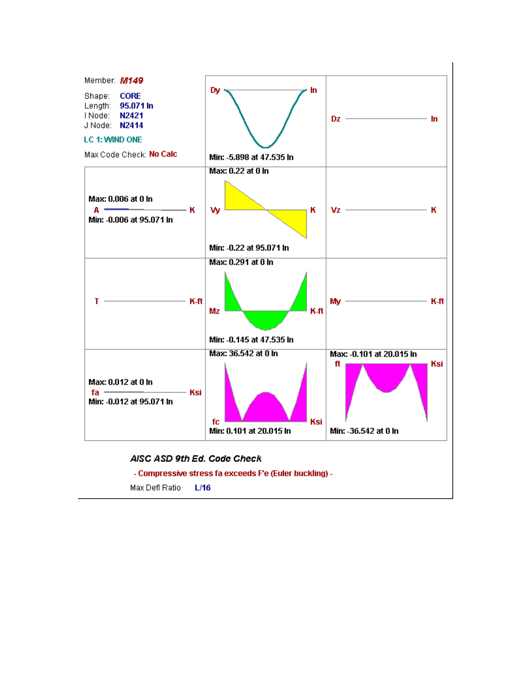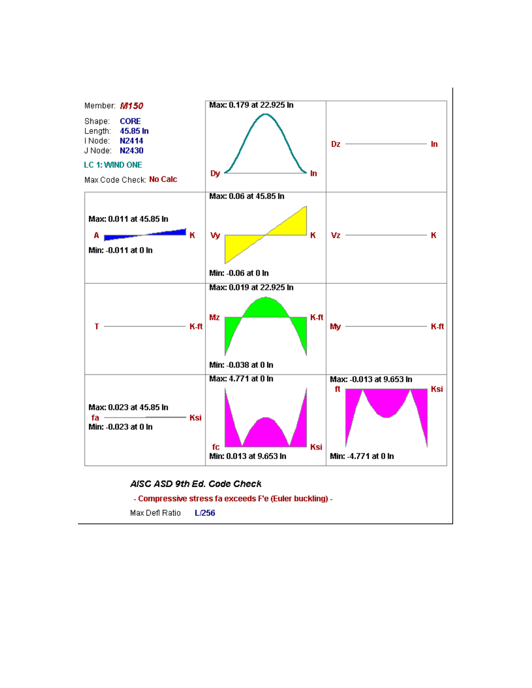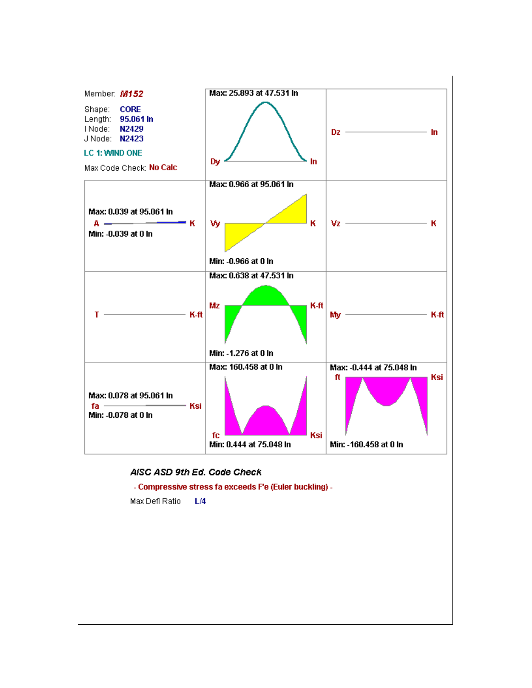

#### AISC ASD 9th Ed. Code Check

- Compressive stress fa exceeds F'e (Euler buckling) -

Max Defl Ratio L/4